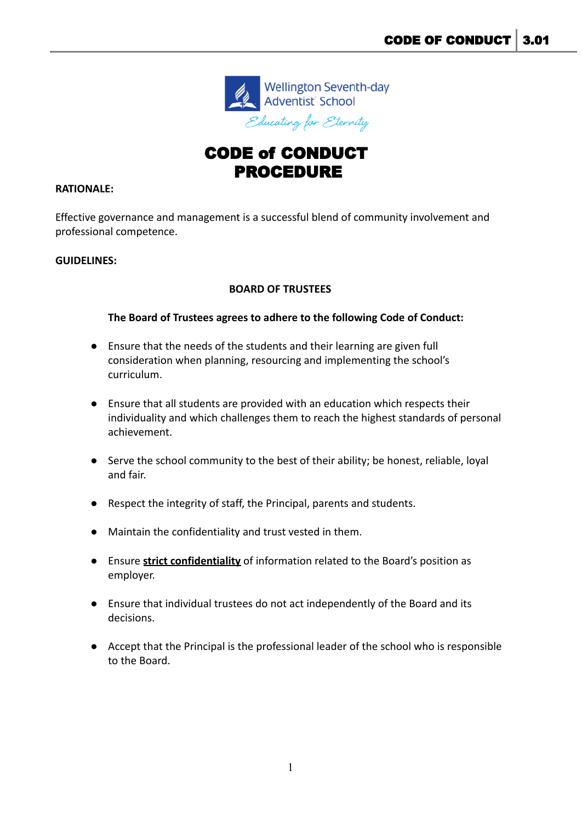

# CODE of CONDUCT PROCEDURE

## **RATIONALE:**

Effective governance and management is a successful blend of community involvement and professional competence.

### **GUIDELINES:**

## **BOARD OF TRUSTEES**

## **The Board of Trustees agrees to adhere to the following Code of Conduct:**

- Ensure that the needs of the students and their learning are given full consideration when planning, resourcing and implementing the school's curriculum.
- Ensure that all students are provided with an education which respects their individuality and which challenges them to reach the highest standards of personal achievement.
- Serve the school community to the best of their ability; be honest, reliable, loyal and fair.
- Respect the integrity of staff, the Principal, parents and students.
- Maintain the confidentiality and trust vested in them.
- Ensure **strict confidentiality** of information related to the Board's position as employer.
- Ensure that individual trustees do not act independently of the Board and its decisions.
- Accept that the Principal is the professional leader of the school who is responsible to the Board.